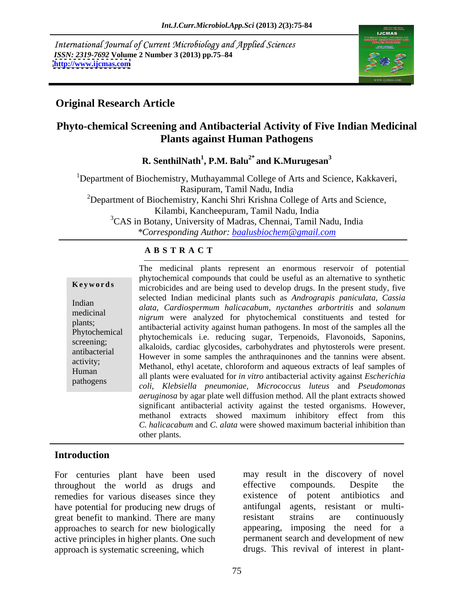International Journal of Current Microbiology and Applied Sciences *ISSN: 2319-7692 Volume 2 Number 3 (2013) pp.75–84 http://www.ijcmas.com* **<http://www.ijcmas.com>** 



### **Original Research Article**

### **Phyto-chemical Screening and Antibacterial Activity of Five Indian Medicinal Plants against Human Pathogens**

**R. SenthilNath<sup>1</sup> , P.M. Balu2\* and K.Murugesan<sup>3</sup>**

<sup>1</sup>Department of Biochemistry, Muthayammal College of Arts and Science, Kakkaveri, Rasipuram, Tamil Nadu, India <sup>2</sup>Department of Biochemistry, Kanchi Shri Krishna College of Arts and Science, Kilambi, Kancheepuram, Tamil Nadu, India <sup>3</sup>CAS in Botany, University of Madras, Chennai, Tamil Nadu, India *\*Corresponding Author: baalusbiochem@gmail.com*

### **A B S T R A C T**

**Keywords** microbicides and are being used to develop drugs. In the present study, five Indian *alata, Cardiospermum halicacabum, nyctanthes arbortritis* and *solanum*  medicinal<br>*nigrum* were analyzed for phytochemical constituents and tested for plants;<br>
antibacterial activity against human pathogens. In most of the samples all the Phytochemical antibacterial activity against natural pathogens. In most of the samples and the phytochemicals i.e. reducing sugar, Terpenoids, Flavonoids, Saponins, screening;<br>alkaloids, cardiac glycosides, carbohydrates and phytosterols were present. antibacterial diverse in some samples the anthraquinones and the tannins were absent. activity;<br>Methanol, ethyl acetate, chloroform and aqueous extracts of leaf samples of Human all plants were evaluated for *in vitro* antibacterial activity against *Escherichia*<br>nethering pathogens *coli*, *Klebsiella pneumoniae, Micrococcus luteus* and *Pseudomonas*  The medicinal plants represent an enormous reservoir of potential phytochemical compounds that could be useful as an alternative to synthetic selected Indian medicinal plants such as *Andrograpis paniculata, Cassia*  However in some samples the anthraquinones and the tannins were absent. Methanol, ethyl acetate, chloroform and aqueous extracts of leaf samples of *aeruginosa* by agar plate well diffusion method. All the plant extracts showed significant antibacterial activity against the tested organisms. However, methanol extracts showed maximum inhibitory effect from this *C. halicacabum* and *C. alata* were showed maximum bacterial inhibition than other plants.

### **Introduction**

throughout the world as drugs and remedies for various diseases since they existence of potent antibiotics and have potential for producing new drugs of antifungal great benefit to mankind. There are many resistant strains are continuously approaches to search for new biologically active principles in higher plants. One such approach is systematic screening, which drugs. This revival of interest in plant-

For centuries plant have been used may result in the discovery of novel effective compounds. Despite the existence of potent antibiotics and agents, resistant or multiresistant strains are continuously appearing, imposing the need for a permanent search and development of new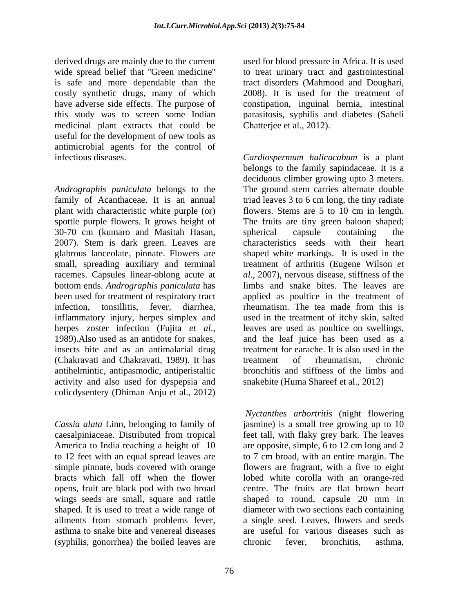derived drugs are mainly due to the current used for blood pressure in Africa. It is used wide spread belief that "Green medicine" to treat urinary tract and gastrointestinal is safe and more dependable than the tract disorders (Mahmood and Doughari, costly synthetic drugs, many of which 2008). It is used for the treatment of have adverse side effects. The purpose of constipation, inguinal hernia, intestinal this study was to screen some Indian parasitosis, syphilis and diabetes (Saheli medicinal plant extracts that could be useful for the development of new tools as antimicrobial agents for the control of

*Andrographis paniculata* belongs to the family of Acanthaceae. It is an annual triad leaves 3 to 6 cm long, the tiny radiate plant with characteristic white purple (or) flowers. Stems are 5 to 10 cm in length. spottle purple flowers. It grows height of The fruits are tiny green baloon shaped; 30-70 cm (kumaro and Masitah Hasan, 2007). Stem is dark green. Leaves are glabrous lanceolate, pinnate. Flowers are shaped white markings. It is used in the small, spreading auxiliary and terminal treatment of arthritis (Eugene Wilson *et*  racemes. Capsules linear-oblong acute at bottom ends. *Andrographis paniculata* has limbs and snake bites. The leaves are been used for treatment of respiratory tract applied as poultice in the treatment of infection, tonsillitis, fever, diarrhea, rheumatism. The tea made from this is inflammatory injury, herpes simplex and herpes zoster infection (Fujita *et al.*, leaves are used as poultice on swellings, 1989).Also used as an antidote for snakes, and the leaf juice has been used as a insects bite and as an antimalarial drug treatment for earache. It is also used in the (Chakravati and Chakravati, 1989). It has antihelmintic, antipasmodic, antiperistaltic bronchitis and stiffness of the limbs and activity and also used for dyspepsia and colicdysentery (Dhiman Anju et al., 2012)

opens, fruit are black pod with two broad asthma to snake bite and venereal diseases (syphilis, gonorrhea) the boiled leaves are chronic fever, bronchitis, asthma,

Chatterjee et al., 2012).

infectious diseases. *Cardiospermum halicacabum* is a plant belongs to the family sapindaceae. It is a deciduous climber growing upto 3 meters. The ground stem carries alternate double spherical capsule containing the characteristics seeds with their heart *al*., 2007), nervous disease, stiffness of the used in the treatment of itchy skin, salted leaves are used as poultice on swellings, and the leaf juice has been used as a treatment of rheumatism, chronic snakebite (Huma Shareef et al., 2012)

*Cassia alata* Linn, belonging to family of jasmine) is a small tree growing up to 10 caesalpiniaceae. Distributed from tropical America to India reaching a height of 10 are opposite, simple, 6 to 12 cm long and 2 to 12 feet with an equal spread leaves are to 7 cm broad, with an entire margin. The simple pinnate, buds covered with orange flowers are fragrant, with a five to eight bracts which fall off when the flower lobed white corolla with an orange-red wings seeds are small, square and rattle shaped to round, capsule 20 mm in shaped. It is used to treat a wide range of diameter with two sections each containing ailments from stomach problems fever, a single seed. Leaves, flowers and seeds *Nyctanthes arbortritis* (night flowering feet tall, with flaky grey bark. The leaves centre. The fruits are flat brown heart are useful for various diseases such as chronic fever, bronchitis, asthma,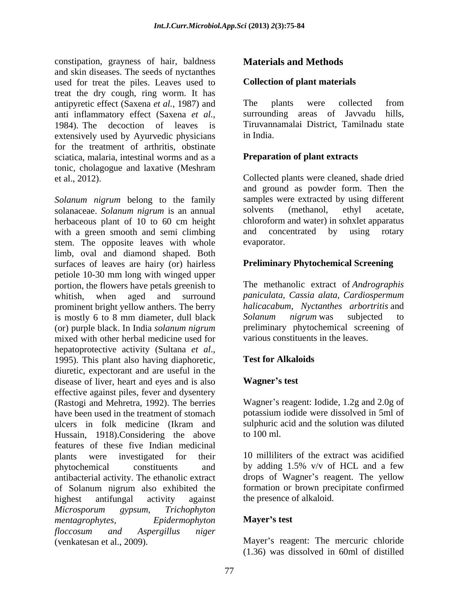constipation, grayness of hair, baldness **Materials and Methods** and skin diseases. The seeds of nyctanthes used for treat the piles. Leaves used to treat the dry cough, ring worm. It has antipyretic effect (Saxena *et al.,* 1987) and anti inflammatory effect (Saxena *et al.,* 1984). The decoction of leaves is extensively used by Ayurvedic physicians in India. for the treatment of arthritis, obstinate sciatica, malaria, intestinal worms and as a tonic, cholagogue and laxative (Meshram

*Solanum nigrum* belong to the family samples were extracted by using<br>solanaceae. *Solanum nigrum* is an annual solvents (methanol, ethyl solanaceae. *Solanum nigrum* is an annual herbaceous plant of 10 to 60 cm height with a green smooth and semi climbing and concentrated by using rotary stem. The opposite leaves with whole limb, oval and diamond shaped. Both surfaces of leaves are hairy (or) hairless petiole 10-30 mm long with winged upper portion, the flowers have petals greenish to whitish, when aged and surround *paniculata, Cassia alata, Cardiospermum* prominent bright yellow anthers. The berry halicacabum, Nyctanthers<br>is mostly 6 to 8 mm diameter, dull black Solanum nigrum was is mostly 6 to 8 mm diameter, dull black Solanum nigrum was subjected to (or) purple black. In India *solanum nigrum* mixed with other herbal medicine used for hepatoprotective activity (Sultana *et al.*,<br>1995). This plant also having diaphoretic, **Test for Alkaloids** diuretic, expectorant and are useful in the disease of liver, heart and eyes and is also **Wagner's test** effective against piles, fever and dysentery (Rastogi and Mehretra, 1992). The berries Wagner's reagent: Iodide, 1.2g and 2.0g of have been used in the treatment of stomach potassium iodide were dissolved in 5ml of ulcers in folk medicine (Ikram and sulphuric acid and the solution was diluted Hussain, 1918). Considering the above to 100 ml. features of these five Indian medicinal<br>
plants were investigated for their 10 milliliters of the extract was acidified plants were investigated for their phytochemical constituents and by adding 1.5% v/v of HCL and a few antibacterial activity. The ethanolic extract drops of Wagner's reagent. The yellow of Solanum nigrum also exhibited the highest antifungal activity against the presence of alkaloid. *Microsporum gypsum, Trichophyton mentagrophytes, Epidermophyton floccosum and Aspergillus niger* constitution grappeas of hair, baldness **Materials and Methods**<br>constitution grappears of hair, baldness and in Collection of plant materials<br>read for none to plants. Leaves used in (Collection of plant materials<br>read for

#### **Collection of plant materials**

The plants were collected from surrounding areas of Javvadu hills, Tiruvannamalai District, Tamilnadu state in India.

### **Preparation of plant extracts**

et al., 2012). Collected plants were cleaned, shade dried and ground as powder form. Then the samples were extracted by using different solvents (methanol, ethyl acetate, chloroform and water) in sohxlet apparatus and concentrated by using rotary evaporator.

### **Preliminary Phytochemical Screening**

The methanolic extract of *Andrographis halicacabum, Nyctanthes arbortritis* and *Solanum nigrum* was subjected to preliminary phytochemical screening of various constituents in the leaves.

### **Test for Alkaloids**

#### **Wagner s test**

sulphuric acid and the solution was diluted

to 100 ml.<br>10 milliliters of the extract was acidified by adding 1.5% v/v of HCL and a few formation or brown precipitate confirmed the presence of alkaloid.

### **Mayer s test**

Mayer's reagent: The mercuric chloride (1.36) was dissolved in 60ml of distilled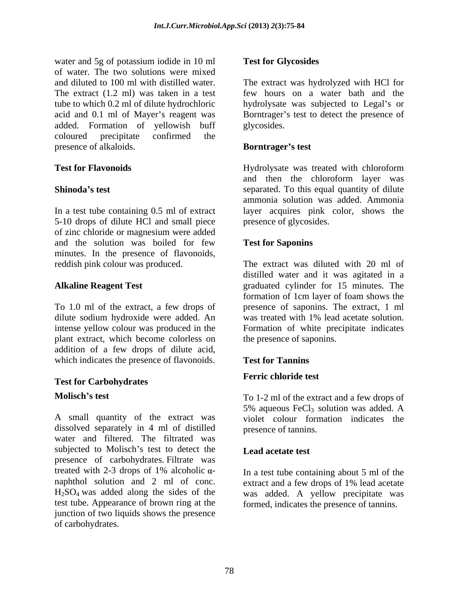water and 5g of potassium iodide in 10 ml of water. The two solutions were mixed and diluted to 100 ml with distilled water. The extract was hydrolyzed with HCl for<br>The extract (1.2 ml) was taken in a test few hours on a water bath and the tube to which 0.2 ml of dilute hydrochloric acid and 0.1 ml of Mayer's reagent was Borntrager's test to detect the presence of added. Formation of yellowish buff coloured precipitate confirmed the presence of alkaloids. **Borntrager's test** 

In a test tube containing 0.5 ml of extract 5-10 drops of dilute HCl and small piece of zinc chloride or magnesium were added and the solution was boiled for few Test for Saponins minutes. In the presence of flavonoids, reddish pink colour was produced.

plant extract, which become colorless on addition of a few drops of dilute acid, which indicates the presence of flavonoids. Test for Tannins

# **Test for Carbohydrates**

A small quantity of the extract was violet colour formation indicates the dissolved separately in 4 ml of distilled water and filtered. The filtrated was subjected to Molisch's test to detect the Lead acetate test presence of carbohydrates. Filtrate was treated with 2-3 drops of 1% alcoholic  $\alpha$ - In a test tube containing about 5 ml of the naphthol solution and 2 ml of conc. extract and a few drops of 1% lead acetate H2SO4 was added along the sides of the was added. A yellow precipitate was test tube. Appearance of brown ring at the formed, indicates the presence of tannins.junction of two liquids shows the presence of carbohydrates.

### **Test for Glycosides**

The extract was hydrolyzed with HCl for few hours on a water bath and the hydrolysate was subjected to Legal's or glycosides.

#### **Borntrager s test**

**Test for Flavonoids** Hydrolysate was treated with chloroform **Shinoda**'s test separated. To this equal quantity of dilute and then the chloroform layer was ammonia solution was added. Ammonia layer acquires pink color, shows the presence of glycosides.

### **Test for Saponins**

**Alkaline Reagent Test** graduated cylinder for 15 minutes. The To 1.0 ml of the extract, a few drops of presence of saponins. The extract, 1 ml dilute sodium hydroxide were added. An wastreated with 1% lead acetate solution. intense yellow colour was produced in the Formation of white precipitate indicates The extract was diluted with 20 ml of distilled water and it was agitated in a formation of 1cm layer of foam shows the the presence of saponins.

### **Test for Tannins**

### **Ferric chloride test**

**Molisch's test** To 1-2 ml of the extract and a few drops of 5% aqueous  $FeCl<sub>3</sub>$  solution was added. A presence of tannins.

### **Lead acetate test**

In a test tube containing about 5 ml of the extract and a few drops of 1% lead acetate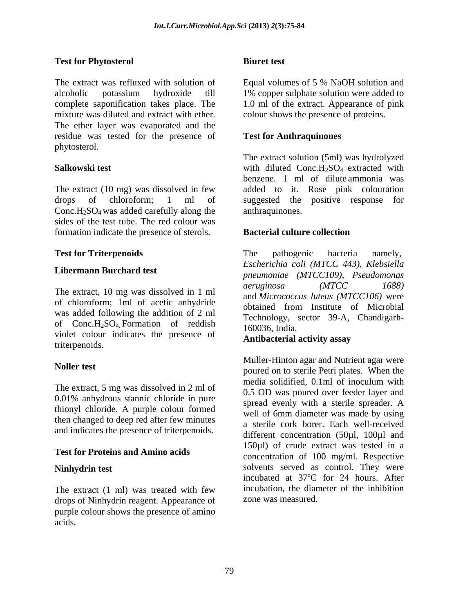### **Test for Phytosterol**

The extract was refluxed with solution of Equal volumes of 5 % NaOH solution and alcoholic potassium hydroxide till 1% copper sulphate solution were added to complete saponification takes place. The 1.0 ml of the extract. Appearance of pink mixture was diluted and extract with ether. colour shows the presence of proteins. The ether layer was evaporated and the residue was tested for the presence of phytosterol.

The extract (10 mg) was dissolved in few drops of chloroform; 1 ml of suggested the positive response for Conc.H<sub>2</sub>SO<sub>4</sub> was added carefully along the sides of the test tube. The red colour was formation indicate the presence of sterols. **Bacterial culture collection** 

of chloroform; 1ml of acetic anhydride was added following the addition of 2 ml of  $Conc.H<sub>2</sub>SO<sub>4</sub>$  Formation of reddish  $160036$ , India. violet colour indicates the presence of triterpenoids.

0.01% anhydrous stannic chloride in pure thionyl chloride. A purple colour formed then changed to deep red after few minutes and indicates the presence of triterpenoids.

### **Test for Proteins and Amino acids**

The extract (1 ml) was treated with few drops of Ninhydrin reagent. Appearance of purple colour shows the presence of amino acids.

#### **Biuret test**

### **Test for Anthraquinones**

**Salkowski test Salkowski** test **with** diluted Conc.H<sub>2</sub>SO<sub>4</sub> extracted with The extract solution (5ml) was hydrolyzed benzene. 1 ml of dilute ammonia was added to it. Rose pink colouration anthraquinones.

### **Bacterial culture collection**

**Test for Triterpenoids** The pathogenic bacteria namely, **Libermann Burchard test** *pneumoniae (MTCC109), Pseudomonas* The extract, 10 mg was dissolved in 1 ml aeruginosa (MTCC 1688) The pathogenic bacteria namely, *Escherichia coli (MTCC 443), Klebsiella aeruginosa (MTCC 1688)* and *Micrococcus luteus (MTCC106)* were obtained from Institute of Microbial Technology, sector 39-A, Chandigarh- 160036, India.

### **Antibacterial activity assay**

**Noller test**<br>
poured on to sterile Petri plates. When the The extract, 5 mg was dissolved in 2 ml of  $\frac{1}{2}$  media solidified, 0.1 ml of inoculum with **Ninhydrin test** solvents served as control. They were Muller-Hinton agar and Nutrient agar were media solidified, 0.1ml of inoculum with 0.5 OD was poured over feeder layer and spread evenly with a sterile spreader. A well of 6mm diameter was made by using a sterile cork borer. Each well-received different concentration (50µl, 100µl and 150µl) of crude extract was tested in a concentration of 100 mg/ml. Respective incubated at 37ºC for 24 hours. After incubation, the diameter of the inhibition zone was measured.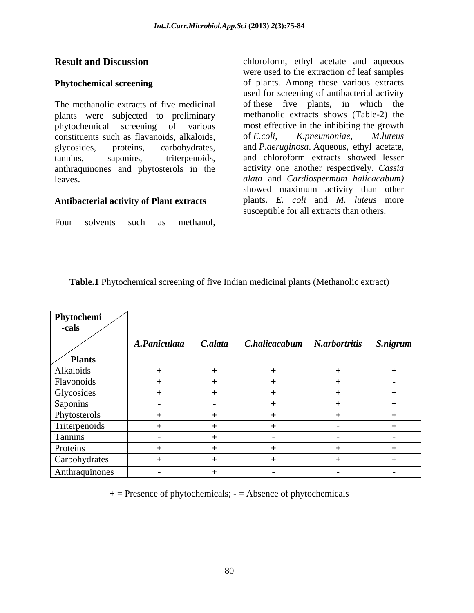phytochemical screening of various most effective in the inhibiting the growth constituents such as flavanoids, alkaloids, of E.coli, K.pneumoniae, M.luteus constituents such as flavanoids, alkaloids, anthraquinones and phytosterols in the

#### **Antibacterial activity of Plant extracts**

**Result and Discussion** chloroform, ethyl acetate and aqueous **Phytochemical screening** of plants. Among these various extracts The methanolic extracts of five medicinal of these five plants, in which the plants were subjected to preliminary methanolic extracts shows (Table-2) the glycosides, proteins, carbohydrates, and *P.aeruginosa*. Aqueous, ethyl acetate, tannins, saponins, triterpenoids, and chloroform extracts showed lesser leaves. *alata* and *Cardiospermum halicacabum)* **Result and Discussion**<br> **Phytochemical screening**<br> **Phytochemical screening**<br> **Phytochemical screening**<br>
of plants. Among these various extracts<br>
used for screening of antibacterial activity<br>
phytochemical screening of p were used to the extraction of leaf samples used for screening of antibacterial activity most effective in the inhibiting the growth of *E.coli*, *K.pneumoniae, M.luteus* activity one another respectively. *Cassia*  showed maximum activity than other plants. *E. coli* and *M. luteus* more susceptible for all extracts than others.

 **Plants**

Alkaloids **+ + + + +**

Glycosides **+ + + + +** Saponins **- - + + +** Phytosterols **+ + + + +** Triterpenoids **+ + + - +**

**Proteins**  $\begin{vmatrix} + & 1 & + \end{vmatrix}$  +  $\begin{vmatrix} + & 1 & + \end{vmatrix}$  +  $\begin{vmatrix} + & 1 & + \end{vmatrix}$ Carbohydrates **+ + + + + + + + +** 

Flavonoids **+ + + + -**

Tannins **- + - - -**

Anthraquinones **- + - - -**

| Phytochemi |  |                                                                   |  |
|------------|--|-------------------------------------------------------------------|--|
| -cais      |  |                                                                   |  |
|            |  |                                                                   |  |
|            |  | A.Paniculata   C.alata   C.halicacabum   N.arbortritis   S.nigrum |  |

| Table.<br>$\blacksquare$ 1 Phyto<br>Phytochemical screening of five | ve Indian medicinal plants (Methano'' | anolic extract) |  |  |
|---------------------------------------------------------------------|---------------------------------------|-----------------|--|--|
|                                                                     |                                       |                 |  |  |

**+** = Presence of phytochemicals; **-** = Absence of phytochemicals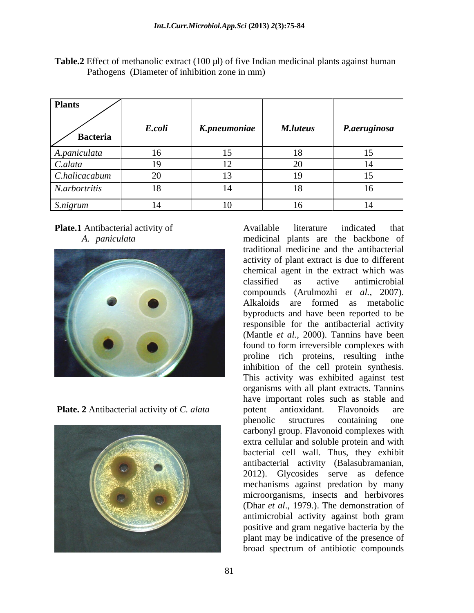**Table.2** Effect of methanolic extract (100 µl) of five Indian medicinal plants against human Pathogens (Diameter of inhibition zone in mm)





**Plate.1** Antibacterial activity of *Available* literature indicated that *A. paniculata*  medicinal plants are the backbone of **Plate. 2** Antibacterial activity of *C. alata* **Plate.1** Antibacterial activity of<br> **Examine and the and the and the substantial plants are the backbone of<br>
traditional medicine and the eartheat vector-<br>
chemical agets in the extract is due to different<br>
charged as a a** traditional medicine and the antibacterial activity of plant extract is due to different chemical agent in the extract which was classified as active antimicrobial compounds (Arulmozhi *et al.,* 2007). Alkaloids are formed as metabolic byproducts and have been reported to be responsible for the antibacterial activity (Mantle *et al.*, 2000). Tannins have been found to form irreversible complexes with proline rich proteins, resulting inthe inhibition of the cell protein synthesis. This activity was exhibited against test organisms with all plant extracts. Tannins have important roles such as stable and potent antioxidant. Flavonoids are phenolic structures containing one carbonyl group. Flavonoid complexes with extra cellular and soluble protein and with bacterial cell wall. Thus, they exhibit antibacterial activity (Balasubramanian, 2012). Glycosides serve as defence mechanisms against predation by many microorganisms, insects and herbivores (Dhar *et al.*, 1979.). The demonstration of antimicrobial activity against both gram positive and gram negative bacteria by the plant may be indicative of the presence of broad spectrum of antibiotic compounds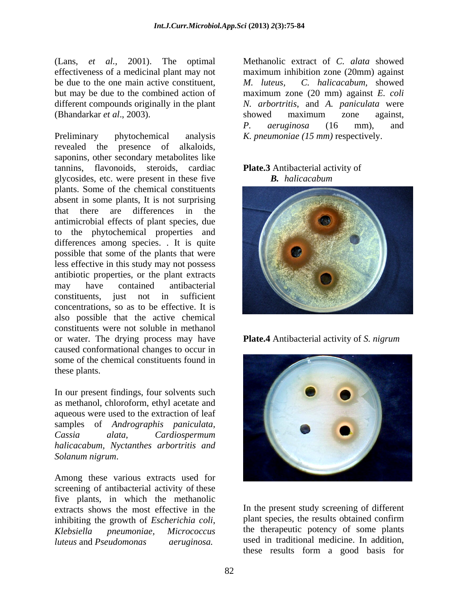effectiveness of a medicinal plant may not maximum inhibition zone (20mm) against be due to the one main active constituent. M. *luteus.* C. *halicacabum*. showed but may be due to the combined action of maximum zone (20 mm) against E. coli different compounds originally in the plant N. arbortritis, and A. paniculata were (Bhandarkar *et al*., 2003).

Preliminary phytochemical analysis *K. pneumoniae (15 mm)* respectively. revealed the presence of alkaloids, saponins, other secondary metabolites like tannins, flavonoids, steroids, cardiac **Plate.3** Antibacterial activity of glycosides, etc. were present in these five plants. Some of the chemical constituents absent in some plants, It is not surprising antimicrobial effects of plant species, due to the phytochemical properties and differences among species. . It is quite possible that some of the plants that were less effective in this study may not possess antibiotic properties, or the plant extracts concentrations, so as to be effective. It is also possible that the active chemical constituents were not soluble in methanol or water. The drying process may have **Plate.4** Antibacterial activity of S. nigrum caused conformational changes to occur in some of the chemical constituents found in *llane, a o d.*, 2001). The optimal Methanolic extract of *C. alata* showed by the properties be the contributed by the properties are properties and the contribution of *the later* contribution showed by the contributio

In our present findings, four solvents such as methanol, chloroform, ethyl acetate and aqueous were used to the extraction of leaf samples of *Andrographis paniculata, halicacabum, Nyctanthes arbortritis and Solanum nigrum*.

Among these various extracts used for screening of antibacterial activity of these five plants, in which the methanolic extracts shows the most effective in the inhibiting the growth of *Escherichia coli*, *Klebsiella pneumoniae, Micrococcus* the therapeutic potency of some plants

(Lans, *et al.,* 2001). The optimal maximum inhibition zone (20mm) against *M. luteus, C. halicacabum,* showed maximum zone (20 mm) against *E. coli N. arbortritis*, and *A. paniculata* were showed maximum zone against*, P. aeruginosa* (16 mm), and

## *B. halicacabum*



**Plate.4** Antibacterial activity of *S. nigrum*



In the present study screening of different plant species, the results obtained confirm used in traditional medicine. In addition, these results form a good basis for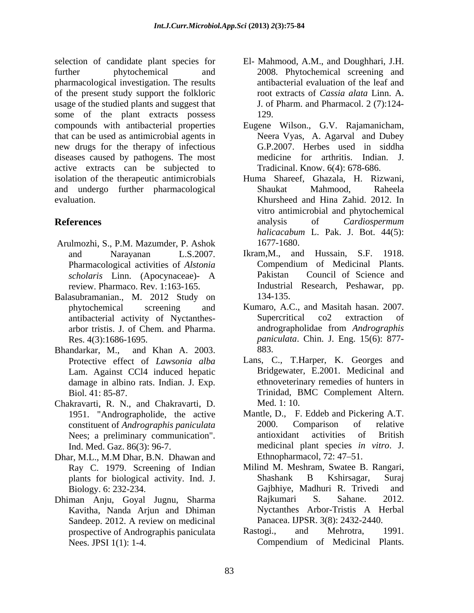selection of candidate plant species for further phytochemical and 2008. Phytochemical screening and pharmacological investigation. The results of the present study support the folkloric usage of the studied plants and suggest that some of the plant extracts possess 129. compounds with antibacterial properties Eugene Wilson., G.V. Rajamanicham, that can be used as antimicrobial agents in new drugs for the therapy of infectious diseases caused by pathogens. The most medicine for arthritis. Indian. J. active extracts can be subjected to Tradicinal. Know. 6(4): 678-686. isolation of the therapeutic antimicrobials and undergo further pharmacological evaluation. Khursheed and Hina Zahid. 2012. In

- Arulmozhi, S., P.M. Mazumder, P. Ashok Pharmacological activities of *Alstonia*
- Balasubramanian., M. 2012 Study on
- Bhandarkar, M., and Khan A. 2003. Lam. Against CCl4 induced hepatic damage in albino rats. Indian. J. Exp.
- Chakravarti, R. N., and Chakravarti, D.
- Dhar, M.L., M.M Dhar, B.N. Dhawan and Ray C. 1979. Screening of Indian
- Dhiman Anju, Goyal Jugnu, Sharma
- El- Mahmood, A.M., and Doughhari, J.H. antibacterial evaluation of the leaf and root extracts of *Cassia alata* Linn. A. J. of Pharm. and Pharmacol. 2 (7):124- 129.
- Eugene Wilson., G.V. Rajamanicham, Neera Vyas, A. Agarval and Dubey G.P.2007. Herbes used in siddha medicine for arthritis. Indian. J.<br>Tradicinal. Know. 6(4): 678-686.
- **References** analysis of *Cardiospermum* Huma Shareef, Ghazala, H. Rizwani, Shaukat Mahmood, Raheela vitro antimicrobial and phytochemical analysis of *Cardiospermum halicacabum* L. Pak. J. Bot. 44(5): 1677-1680.
	- and Narayanan L.S.2007. *scholaris* Linn. (Apocynaceae)- A review. Pharmaco. Rev. 1:163-165. Industrial Research, Peshawar, pp. Ikram,M., and Hussain, S.F. 1918. Compendium of Medicinal Plants. Pakistan Council of Science and 134-135.
	- phytochemical screening and Kumaro, A.C., and Masitah hasan. 2007. antibacterial activity of Nyctanthes arbor tristis. J. of Chem. and Pharma. Res. 4(3):1686-1695. *paniculata*. Chin. J. Eng. 15(6): 877- Supercritical co2 extraction of andrographolidae from *Andrographis*  883.
	- Protective effect of *Lawsonia alba* Lans, C., T.Harper, K. Georges and Biol. 41: 85-87. Trinidad, BMC Complement Altern. Bridgewater, E.2001. Medicinal and ethnoveterinary remedies of hunters in Med. 1: 10.
	- 1951. "Andrographolide, the active Mantle, D., F. Eddeb and Pickering A.T. constituent of *Andrographis paniculata* 2000. Comparison of relative<br>Nees: a preliminary communication". antioxidant activities of British Nees; a preliminary communication". antioxidant activities of British Ind. Med. Gaz. 86(3): 96-7. medicinal plant species *in vitro*. J. 2000. Comparison of relative antioxidant activities of British Ethnopharmacol,  $72: 47-51$ .
	- plants for biological activity. Ind. J. Biology. 6: 232-234. Gajbhiye, Madhuri R. Trivedi and Kavitha, Nanda Arjun and Dhiman Sandeep. 2012. A review on medicinal Panacea. IJPSR. 3(8): 2432-2440. Milind M. Meshram, Swatee B. Rangari, Shashank B Kshirsagar, Suraj Rajkumari S. Sahane. 2012. Nyctanthes Arbor-Tristis A Herbal Panacea. IJPSR. 3(8): 2432-2440.
	- prospective of Andrographis paniculata Rastogi., and Mehrotra, 1991. Nees. JPSI 1(1): 1-4. Compendium of Medicinal Plants. Rastogi., and Mehrotra, 1991. Compendium of Medicinal Plants.